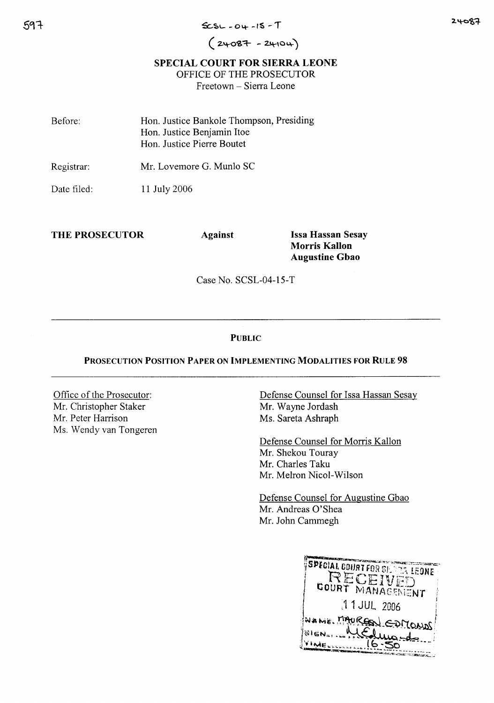# $(24087 - 24104)$

## SPECIAL COURT FOR SIERRA LEONE

OFFICE OF THE PROSECUTOR

Freetown - Sierra Leone

| Before: | Hon. Justice Bankole Thompson, Presiding |
|---------|------------------------------------------|
|         | Hon. Justice Benjamin Itoe               |
|         | Hon. Justice Pierre Boutet               |

Registrar: Mr. Lovemore G. Munl0 SC

Date filed: 11 July 2006

THE PROSECUTOR Against Issa Hassan Sesay

Morris Kallon Augustine Gbao

Case No. SCSL-04-l5-T

## **PUBLIC**

## PROSECUTION POSITION PAPER ON IMPLEMENTING MODALITIES FOR RULE 98

Office of the Prosecutor: Mr. Christopher Staker Mr. Peter Harrison Ms. Wendy van Tongeren Defense Counsel for Issa Hassan Sesay Mr. Wayne Jordash Ms. Sareta Ashraph

Defense Counsel for Morris Kallon Mr. Shekou Touray Mr. Charles Taku Mr. Melron Nicol-Wilson

Defense Counsel for Augustine Gbao Mr. Andreas O'Shea Mr. John Cammegh

SPECIAL COURT FOR SUPER LEONE 11 JUL 2006 NAME MAUREN COMONO **SIGN... INELLEL**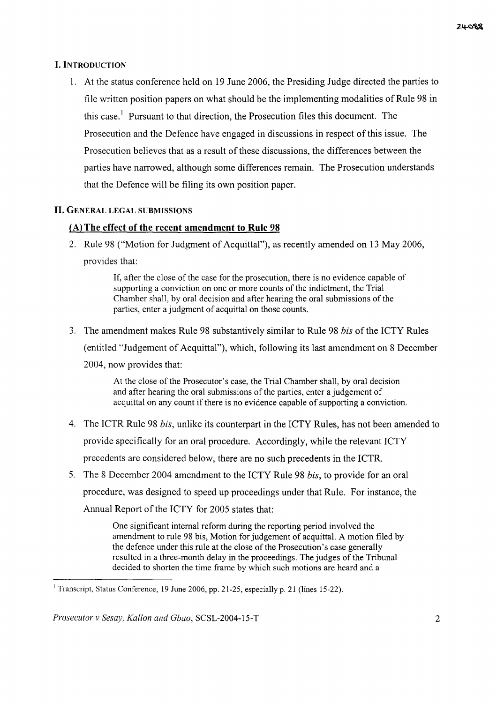#### I. INTRODUCTION

1. At the status conference held on 19 June 2006, the Presiding Judge directed the parties to file written position papers on what should be the implementing modalities of Rule 98 in this case.<sup>1</sup> Pursuant to that direction, the Prosecution files this document. The Prosecution and the Defence have engaged in discussions in respect of this issue. The Prosecution believes that as a result of these discussions, the differences between the parties have narrowed, although some differences remain. The Prosecution understands that the Defence will be filing its own position paper.

### **II.** GENERAL LEGAL SUBMISSIONS

## fA) **The effect of the recent amendment to Rule 98**

2. Rule 98 ("Motion for Judgment of Acquittal"), as recently amended on 13 May 2006, provides that:

> If, after the close of the case for the prosecution, there is no evidence capable of supporting a conviction on one or more counts of the indictment, the Trial Chamber shall, by oral decision and after hearing the oral submissions of the parties, enter a judgment of acquittal on those counts.

3. The amendment makes Rule 98 substantively similar to Rule 98 *bis* ofthe ICTY Rules (entitled "Judgement of Acquittal"), which, following its last amendment on 8 December 2004, now provides that:

> At the close of the Prosecutor's case, the Trial Chamber shall, by oral decision and after hearing the oral submissions of the parties, enter a judgement of acquittal on any count if there is no evidence capable of supporting a conviction.

- 4. The ICTR Rule 98 *bis,* unlike its counterpart in the ICTY Rules, has not been amended to provide specifically for an oral procedure. Accordingly, while the relevant ICTY precedents are considered below, there are no such precedents in the ICTR.
- 5. The 8 December 2004 amendment to the ICTY Rule 98 *bis,* to provide for an oral procedure, was designed to speed up proceedings under that Rule. For instance, the Annual Report of the ICTY for 2005 states that:

One significant internal reform during the reporting period involved the amendment to rule 98 bis, Motion for judgement of acquittal. A motion filed by the defence under this rule at the close of the Prosecution's case generally resulted in a three-month delay in the proceedings. The judges of the Tribunal decided to shorten the time frame by which such motions are heard and a

<sup>&</sup>lt;sup>1</sup> Transcript, Status Conference, 19 June 2006, pp. 21-25, especially p. 21 (lines 15-22).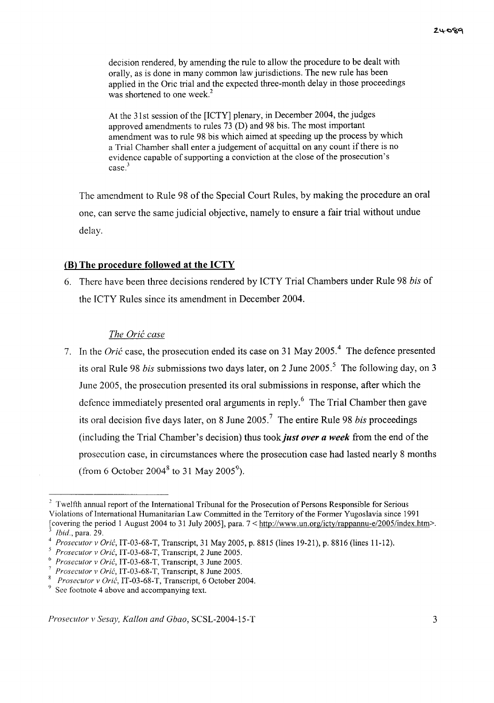decision rendered, by amending the rule to allow the procedure to be dealt with orally, as is done in many common law jurisdictions. The new rule has been applied in the Oric trial and the expected three-month delay in those proceedings was shortened to one week.<sup>2</sup>

At the 31st session of the [ICTY] plenary, in December 2004, the judges approved amendments to rules 73 (D) and 98 bis. The most important amendment was to rule 98 bis which aimed at speeding up the process by which a Trial Chamber shall enter a judgement of acquittal on any count if there is no evidence capable of supporting a conviction at the close of the prosecution's case.<sup>3</sup>

The amendment to Rule 98 of the Special Court Rules, by making the procedure an oral one, can serve the same judicial objective, namely to ensure a fair trial without undue delay.

#### **(B) The procedure followed at the ICTY**

6. There have been three decisions rendered by ICTY Trial Chambers under Rule 98 *bis* of the ICTY Rules since its amendment in December 2004.

#### *The Grit case*

7. In the *Grit* case, the prosecution ended its case on 31 May 2005. <sup>4</sup> The defence presented its oral Rule 98 *bis* submissions two days later, on 2 June 2005.<sup>5</sup> The following day, on 3 June 2005, the prosecution presented its oral submissions in response, after which the defence immediately presented oral arguments in reply.<sup>6</sup> The Trial Chamber then gave its oral decision five days later, on 8 June 2005. <sup>7</sup> The entire Rule 98 *bis* proceedings (including the Trial Chamber's decision) thus took *just over a week* from the end ofthe prosecution case, in circumstances where the prosecution case had lasted nearly 8 months (from 6 October 2004 $^8$  to 31 May 2005 $^9$ ).

 $2$  Twelfth annual report of the International Tribunal for the Prosecution of Persons Responsible for Serious Violations of International Humanitarian Law Committed in the Territory of the Former Yugoslavia since 1991 [covering the period 1 August 2004 to 31 July 2005], para. 7 < http://www.un.org/icty/rappannu-e/2005/index.htm>. *<sup>3</sup> Ibid.,* para. 29.

*<sup>4</sup> Prosecutor v Oric,* IT-03-68-T, Transcript, 31 May 2005, p. 8815 (lines 19-21), p. 8816 (lines 11-12).

*<sup>5</sup> Prosecutor v Oric,* IT-03-68-T, Transcript, 2 June 2005.

<sup>()</sup> *Prosecutor v Oric,* IT-03-68-T, Transcript, 3 June 2005.

*<sup>7</sup> Prosecutor v Oric,* IT-03-68-T, Transcript, 8 June 2005.

<sup>8</sup> *Prosecutor v Oric,* IT-03-68-T, Transcript, 6 October 2004.

 $9$  See footnote 4 above and accompanying text.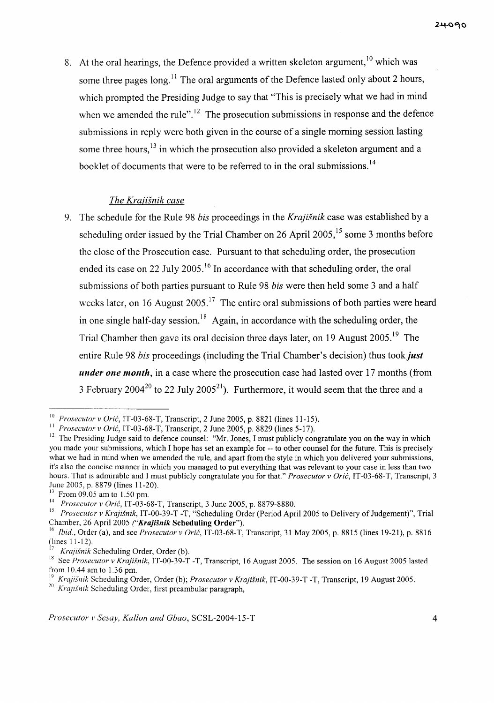8. At the oral hearings, the Defence provided a written skeleton argument,  $10$  which was some three pages long.<sup>11</sup> The oral arguments of the Defence lasted only about 2 hours, which prompted the Presiding Judge to say that "This is precisely what we had in mind when we amended the rule".<sup>12</sup> The prosecution submissions in response and the defence submissions in reply were both given in the course of a single morning session lasting some three hours,<sup>13</sup> in which the prosecution also provided a skeleton argument and a booklet of documents that were to be referred to in the oral submissions.<sup>14</sup>

## *The Krajisnik case*

9. The schedule for the Rule 98 *bis* proceedings in the *Krajisnik* case was established by a scheduling order issued by the Trial Chamber on 26 April 2005,<sup>15</sup> some 3 months before the close of the Prosecution case. Pursuant to that scheduling order, the prosecution ended its case on 22 July 2005.<sup>16</sup> In accordance with that scheduling order, the oral submissions of both parties pursuant to Rule 98 *bis* were then held some 3 and a half weeks later, on 16 August  $2005$ .<sup>17</sup> The entire oral submissions of both parties were heard in one single half-day session.<sup>18</sup> Again, in accordance with the scheduling order, the Trial Chamber then gave its oral decision three days later, on 19 August 2005.<sup>19</sup> The entire Rule 98 *bis* proceedings (including the Trial Chamber's decision) thus took just *under one month,* in a case where the prosecution case had lasted over 17 months (from 3 February 2004<sup>20</sup> to 22 July 2005<sup>21</sup>). Furthermore, it would seem that the three and a

<sup>10</sup> *Prosecutor* v *Oric,* IT-03-68-T, Transcript, 2 June 2005, p. 8821 (lines 11-15).

<sup>11</sup> *Prosecutor* v *Oric,* IT-03-68-T, Transcript, 2 June 2005, p. 8829 (lines 5-17).

 $12$  The Presiding Judge said to defence counsel: "Mr. Jones, I must publicly congratulate you on the way in which you made your submissions, which I hope has set an example for -- to other counsel for the future. This is precisely what we had in mind when we amended the rule, and apart from the style in which you delivered your submissions, it's also the concise manner in which you managed to put everything that was relevant to your case in less than two hours. That is admirable and I must publicly congratulate you for that." *Prosecutor* v *Oric,* IT-03-68-T, Transcript, 3 June 2005, p. 8879 (lines 11-20).

<sup>13</sup> From 09.05 am to 1.50 pm.

<sup>14</sup> *Prosecutor* v *Oric,* IT-03-68-T, Transcript, 3 June 2005, p. 8879-8880.

<sup>&</sup>lt;sup>15</sup> Prosecutor v Krajišnik, IT-00-39-T -T, "Scheduling Order (Period April 2005 to Delivery of Judgement)", Trial Chamber, 26 April 2005 *("Krajišnik* Scheduling Order").

<sup>16</sup> *Ibid.,* Order (a), and see *Prosecutor* v *Oric,* IT-03-68-T, Transcript, 31 May 2005, p. 8815 (lines 19-21), p. 8816 (lines 11-12).

*Krajišnik* Scheduling Order, Order (b).

<sup>&</sup>lt;sup>18</sup> See *Prosecutor v Krajišnik*, IT-00-39-T -T, Transcript, 16 August 2005. The session on 16 August 2005 lasted from 10.44 am to 1.36 pm.

<sup>19</sup> *Krajisnik* Scheduling Order, Order (b); *Prosecutor* v *Krajisnik,* IT-00-39-T -T, Transcript, 19 August 2005.

*<sup>20</sup> Krajisnik* Scheduling Order, first preambular paragraph,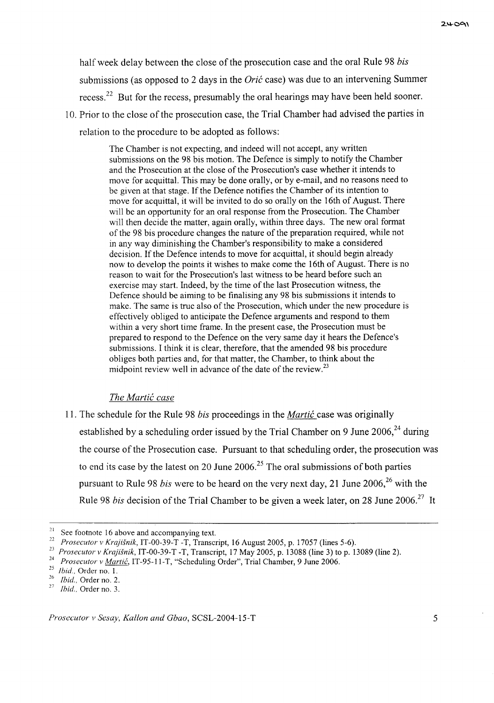half week delay between the close of the prosecution case and the oral Rule 98 *bis* submissions (as opposed to 2 days in the *Orić* case) was due to an intervening Summer recess.<sup>22</sup> But for the recess, presumably the oral hearings may have been held sooner.

10. Prior to the close of the prosecution case, the Trial Chamber had advised the parties in relation to the procedure to be adopted as follows:

> The Chamber is not expecting, and indeed will not accept, any written submissions on the 98 bis motion. The Defence is simply to notify the Chamber and the Prosecution at the close of the Prosecution's case whether it intends to move for acquittal. This may be done orally, or by e-mail, and no reasons need to be given at that stage. If the Defence notifies the Chamber of its intention to move for acquittal, it will be invited to do so orally on the 16th of August. There will be an opportunity for an oral response from the Prosecution. The Chamber will then decide the matter, again orally, within three days. The new oral format of the 98 bis procedure changes the nature ofthe preparation required, while not in any way diminishing the Chamber's responsibility to make a considered decision. If the Defence intends to move for acquittal, it should begin already now to develop the points it wishes to make come the 16th of August. There is no reason to wait for the Prosecution's last witness to be heard before such an exercise may start. Indeed, by the time of the last Prosecution witness, the Defence should be aiming to be finalising any 98 bis submissions it intends to make. The same is true also of the Prosecution, which under the new procedure is effectively obliged to anticipate the Defence arguments and respond to them within a very short time frame. In the present case, the Prosecution must be prepared to respond to the Defence on the very same day it hears the Defence's submissions. I think it is clear, therefore, that the amended 98 bis procedure obliges both parties and, for that matter, the Chamber, to think about the midpoint review well in advance of the date of the review. $^{23}$

## *The Martie case*

11. The schedule for the Rule 98 *bis* proceedings in the *Martie* case was originally established by a scheduling order issued by the Trial Chamber on 9 June  $2006<sup>24</sup>$  during the course of the Prosecution case. Pursuant to that scheduling order, the prosecution was to end its case by the latest on 20 June  $2006$ <sup>25</sup>. The oral submissions of both parties pursuant to Rule 98 *bis* were to be heard on the very next day, 21 June 2006,<sup>26</sup> with the Rule 98 *bis* decision of the Trial Chamber to be given a week later, on 28 June 2006.<sup>27</sup> It

 $21$  See footnote 16 above and accompanying text.

*<sup>22</sup> Prosecutor v Krajisnik,* IT-00-39-T -T, Transcript, 16 August 2005, p. 17057 (lines 5-6).

*<sup>23</sup> Prosecutor v Krajisnik,* IT-00-39-T -T, Transcript, 17 May 2005, p. 13088 (line 3) to p. 13089 (line 2).

<sup>&</sup>lt;sup>24</sup> *Prosecutor v <u>Martić</u>*, IT-95-11-T, "Scheduling Order", Trial Chamber, 9 June 2006.

*<sup>25</sup> Ibid.,* Order no. 1.

*<sup>26</sup>* **Ibid" Order no. 2.**

*Ibid.*, Order no. 3.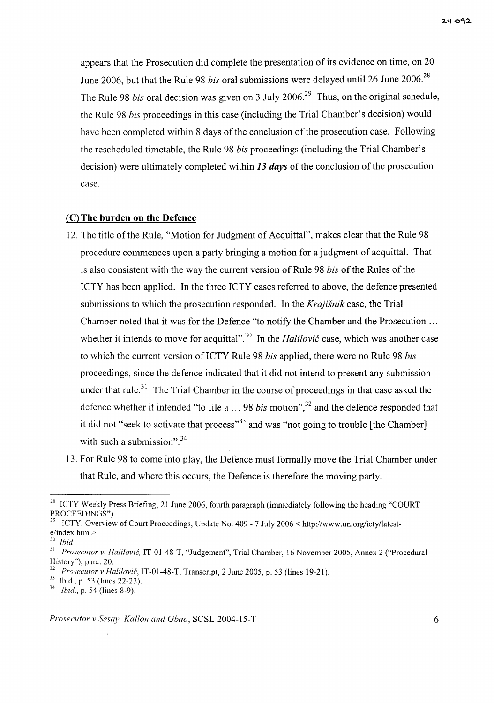appears that the Prosecution did complete the presentation of its evidence on time, on 20 June 2006, but that the Rule 98 *bis* oral submissions were delayed until 26 June 2006.<sup>28</sup> The Rule 98 *bis* oral decision was given on 3 July 2006.<sup>29</sup> Thus, on the original schedule, the Rule 98 *bis* proceedings in this case (including the Trial Chamber's decision) would have been completed within 8 days of the conclusion of the prosecution case. Following the rescheduled timetable, the Rule 98 *bis* proceedings (including the Trial Chamber's decision) were ultimately completed within 13 *days* of the conclusion of the prosecution case.

### **(C) The burden on the Defence**

- 12. The title of the Rule, "Motion for Judgment of Acquittal", makes clear that the Rule 98 procedure commences upon a party bringing a motion for a judgment of acquittal. That is also consistent with the way the current version of Rule 98 *bis* of the Rules of the ICTY has been applied. In the three ICTY cases referred to above, the defence presented submissions to which the prosecution responded. In the *Krajisnik* case, the Trial Chamber noted that it was for the Defence "to notify the Chamber and the Prosecution ... whether it intends to move for acquittal".<sup>30</sup> In the *Halilovic* case, which was another case to which the current version ofICTY Rule 98 *bis* applied, there were no Rule 98 *bis* proceedings, since the defence indicated that it did not intend to present any submission under that rule.<sup>31</sup> The Trial Chamber in the course of proceedings in that case asked the defence whether it intended "to file  $a \ldots 98$  *bis* motion",<sup>32</sup> and the defence responded that it did not "seek to activate that process"<sup>33</sup> and was "not going to trouble [the Chamber] with such a submission". $34$
- 13. For Rule 98 to come into play, the Defence must formally move the Trial Chamber under that Rule, and where this occurs, the Defence is therefore the moving party.

<sup>&</sup>lt;sup>28</sup> ICTY Weekly Press Briefing, 21 June 2006, fourth paragraph (immediately following the heading "COURT PROCEEDINGS").

<sup>29</sup> ICTY, Overview of Court Proceedings, Update No. 409 - 7 July 2006 < *http://www.un.orglicty/latest*e/index.htm >.

*<sup>30</sup> Ibid.*

<sup>31</sup> *Prosecutor v. Halilovic,* IT-0l-48-T, "Judgement", Trial Chamber, 16 November 2005, Annex 2 ("Procedural History"), para. 20.

*<sup>32</sup> Prosecutor v Halilovic,* IT-01-48-T, Transcript, 2 June 2005, p. 53 (lines 19-21).

<sup>33</sup> Ibid., p. 53 (lines 22-23).

*<sup>34</sup> Ibid.,* p. 54 (lines 8-9).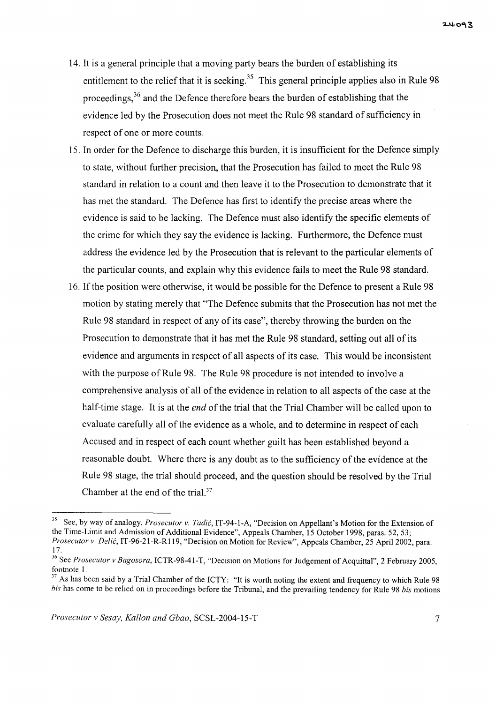- 14. It is a general principle that a moving party bears the burden of establishing its entitlement to the relief that it is seeking.<sup>35</sup> This general principle applies also in Rule 98 proceedings,<sup>36</sup> and the Defence therefore bears the burden of establishing that the evidence led by the Prosecution does not meet the Rule 98 standard of sufficiency in respect of one or more counts.
- 15. In order for the Defence to discharge this burden, it is insufficient for the Defence simply to state, without further precision, that the Prosecution has failed to meet the Rule 98 standard in relation to a count and then leave it to the Prosecution to demonstrate that it has met the standard. The Defence has first to identify the precise areas where the evidence is said to be lacking. The Defence must also identify the specific elements of the crime for which they say the evidence is lacking. Furthermore, the Defence must address the evidence led by the Prosecution that is relevant to the particular elements of the particular counts, and explain why this evidence fails to meet the Rule 98 standard.
- 16. If the position were otherwise, it would be possible for the Defence to present a Rule 98 motion by stating merely that "The Defence submits that the Prosecution has not met the Rule 98 standard in respect of any of its case", thereby throwing the burden on the Prosecution to demonstrate that it has met the Rule 98 standard, setting out all of its evidence and arguments in respect of all aspects of its case. This would be inconsistent with the purpose of Rule 98. The Rule 98 procedure is not intended to involve a comprehensive analysis of all of the evidence in relation to all aspects of the case at the half-time stage. It is at the *end* of the trial that the Trial Chamber will be called upon to evaluate carefully all of the evidence as a whole, and to determine in respect of each Accused and in respect of each count whether guilt has been established beyond a reasonable doubt. Where there is any doubt as to the sufficiency of the evidence at the Rule 98 stage, the trial should proceed, and the question should be resolved by the Trial Chamber at the end of the trial. $37$

<sup>35</sup> See, by way of analogy, *Prosecutor* v. *Tadic,* IT-94-1-A, "Decision on Appellant's Motion for the Extension of the Time-Limit and Admission of Additional Evidence", Appeals Chamber, 15 October 1998, paras. 52, 53; *Prosecutor* v. *Delic,* IT-96-21-R-RI19, "Decision on Motion for Review", Appeals Chamber, 25 April 2002, para. 17.

<sup>&</sup>lt;sup>36</sup> See *Prosecutor v Bagosora*, ICTR-98-41-T, "Decision on Motions for Judgement of Acquittal", 2 February 2005, footnote 1.

 $37$  As has been said by a Trial Chamber of the ICTY: "It is worth noting the extent and frequency to which Rule 98 *his* has come to be relied on in proceedings before the Tribunal, and the prevailing tendency for Rule 98 *his* motions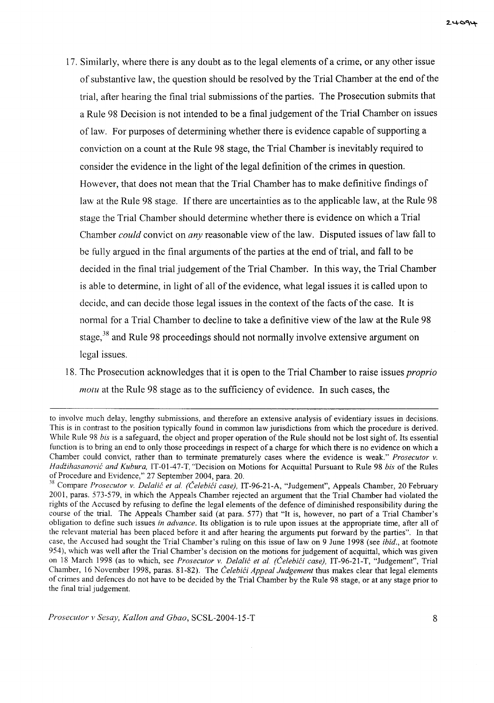- 17. Similarly, where there is any doubt as to the legal elements of a crime, or any other issue of substantive law, the question should be resolved by the Trial Chamber at the end of the trial, after hearing the final trial submissions of the parties. The Prosecution submits that a Rule 98 Decision is not intended to be a final judgement of the Trial Chamber on issues of law. For purposes of determining whether there is evidence capable of supporting a conviction on a count at the Rule 98 stage, the Trial Chamber is inevitably required to consider the evidence in the light of the legal definition of the crimes in question. However, that does not mean that the Trial Chamber has to make definitive findings of law at the Rule 98 stage. If there are uncertainties as to the applicable law, at the Rule 98 stage the Trial Chamber should determine whether there is evidence on which a Trial Chamber *could* convict on *any* reasonable view of the law. Disputed issues of law fall to be fully argued in the final arguments of the parties at the end of trial, and fall to be decided in the final trial judgement of the Trial Chamber. In this way, the Trial Chamber is able to determine, in light of all of the evidence, what legal issues it is called upon to decide, and can decide those legal issues in the context of the facts of the case. It is normal for a Trial Chamber to decline to take a definitive view ofthe law at the Rule 98 stage,<sup>38</sup> and Rule 98 proceedings should not normally involve extensive argument on legal issues.
- 18. The Prosecution acknowledges that it is open to the Trial Chamber to raise *issues proprio motu* at the Rule 98 stage as to the sufficiency of evidence. **In** such cases, the

to involve much delay, lengthy submissions, and therefore an extensive analysis of evidentiary issues in decisions. This is in contrast to the position typically found in common law jurisdictions from which the procedure is derived. While Rule 98 *bis* is a safeguard, the object and proper operation of the Rule should not be lost sight of. Its essential function is to bring an end to only those proceedings in respect of a charge for which there is no evidence on which a Chamber could convict, rather than to terminate prematurely cases where the evidence is weak." *Prosecutor* v. *Hadiihasanovic and Kubura,* IT-01-47-T. "Decision on Motions for Acquittal Pursuant to Rule 98 *bis* of the Rules of Procedure and Evidence," 27 September 2004, para. 20.

<sup>&</sup>lt;sup>38</sup> Compare *Prosecutor v. Delalić et al. (Čelebići case)*, IT-96-21-A, "Judgement", Appeals Chamber, 20 February 2001, paras. 573-579, in which the Appeals Chamber rejected an argument that the Trial Chamber had violated the rights of the Accused by refusing to define the legal elements of the defence of diminished responsibility during the course of the trial. The Appeals Chamber said (at para. 577) that "It is, however, no part of a Trial Chamber's obligation to define such issues *in advance.* Its obligation is to rule upon issues at the appropriate time, after all of the relevant material has been placed before it and after hearing the arguments put forward by the parties". In that case, the Accused had sought the Trial Chamber's ruling on this issue of law on 9 June 1998 (see *ibid.,* at footnote 954), which was well after the Trial Chamber's decision on the motions for judgement of acquittal, which was given on 18 March 1998 (as to which, see *Prosecutor* v. *Delalic et al. (CelebiCi case),* IT-96-21-T, "Judgement", Trial Chamber, 16 November 1998, paras. 81-82). The *Čelebići Appeal Judgement* thus makes clear that legal elements of crimes and defences do not have to be decided by the Trial Chamber by the Rule 98 stage, or at any stage prior to the final trial judgement.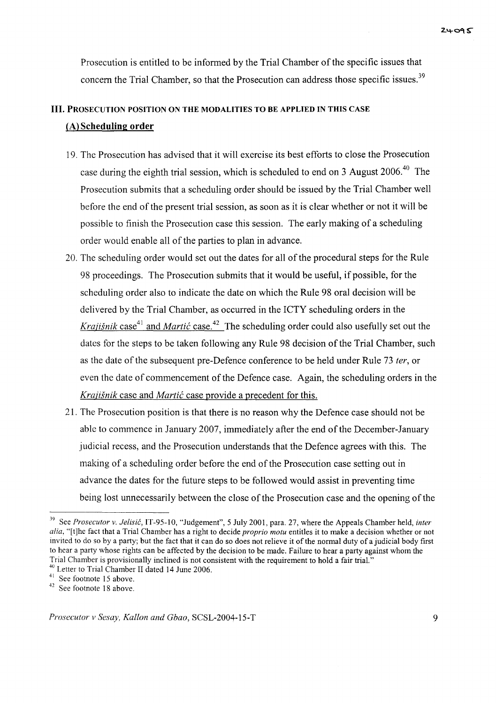Prosecution is entitled to be informed by the Trial Chamber of the specific issues that concern the Trial Chamber, so that the Prosecution can address those specific issues.<sup>39</sup>

# **III.** PROSECUTION POSITION ON THE MODALITIES TO BE APPLIED IN THIS CASE (Al Scheduling order

- 19. The Prosecution has advised that it will exercise its best efforts to close the Prosecution case during the eighth trial session, which is scheduled to end on 3 August 2006.<sup>40</sup> The Prosecution submits that a scheduling order should be issued by the Trial Chamber well before the end of the present trial session, as soon as it is clear whether or not it will be possible to finish the Prosecution case this session. The early making of a scheduling order would enable all of the parties to plan in advance.
- 20. The scheduling order would set out the dates for all ofthe procedural steps for the Rule 98 proceedings. The Prosecution submits that it would be useful, if possible, for the scheduling order also to indicate the date on which the Rule 98 oral decision will be delivered by the Trial Chamber, as occurred in the ICTY scheduling orders in the Krajišnik case<sup>41</sup> and *Martić* case.<sup>42</sup> The scheduling order could also usefully set out the dates for the steps to be taken following any Rule 98 decision of the Trial Chamber, such as the date ofthe subsequent pre-Defence conference to be held under Rule 73 *ter,* or even the date of commencement of the Defence case. Again, the scheduling orders in the *Krajišnik* case and *Martić* case provide a precedent for this.
- 21. The Prosecution position is that there is no reason why the Defence case should not be able to commence in January 2007, immediately after the end of the December-January judicial recess, and the Prosecution understands that the Defence agrees with this. The making of a scheduling order before the end of the Prosecution case setting out in advance the dates for the future steps to be followed would assist in preventing time being lost unnecessarily between the close of the Prosecution case and the opening of the

<sup>39</sup> See *Prosecutor v. Jelisic,* IT-95-1O, "Judgement", 5 July 2001, para. 27, where the Appeals Chamber held, *inter alia,* "[t]he fact that a Trial Chamber has a right to decide *proprio motu* entitles it to make a decision whether or not invited to do so by a party; but the fact that it can do so does not relieve it of the normal duty of a judicial body first to hear a party whose rights can be affected by the decision to be made. Failure to hear a party against whom the Trial Chamber is provisionally inclined is not consistent with the requirement to hold a fair trial."

<sup>40</sup> Letter to Trial Chamber II dated 14 June 2006.

<sup>&</sup>lt;sup>41</sup> See footnote 15 above.

<sup>42</sup> See footnote 18 above.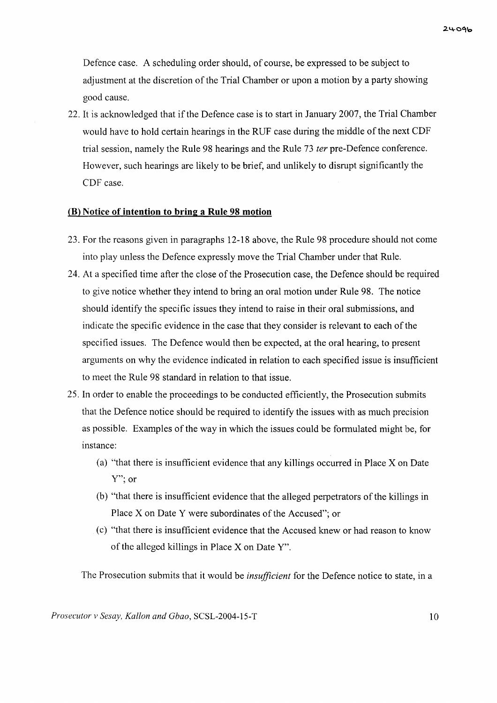Defence case. A scheduling order should, of course, be expressed to be subject to adjustment at the discretion of the Trial Chamber or upon a motion by a party showing good cause.

22. It is acknowledged that if the Defence case is to start in January 2007, the Trial Chamber would have to hold certain hearings in the RUF case during the middle of the next CDF trial session, namely the Rule 98 hearings and the Rule 73 *ter* pre-Defence conference. However, such hearings are likely to be brief, and unlikely to disrupt significantly the CDF case.

## **(B) Notice of intention to bring a Rule 98 motion**

- 23. For the reasons given in paragraphs 12-18 above, the Rule 98 procedure should not come into play unless the Defence expressly move the Trial Chamber under that Rule.
- 24. At a specified time after the close of the Prosecution case, the Defence should be required to give notice whether they intend to bring an oral motion under Rule 98. The notice should identify the specific issues they intend to raise in their oral submissions, and indicate the specific evidence in the case that they consider is relevant to each of the specified issues. The Defence would then be expected, at the oral hearing, to present arguments on why the evidence indicated in relation to each specified issue is insufficient to meet the Rule 98 standard in relation to that issue.
- 25. In order to enable the proceedings to be conducted efficiently, the Prosecution submits that the Defence notice should be required to identify the issues with as much precision as possible. Examples of the way in which the issues could be formulated might be, for instance:
	- (a) "that there is insufficient evidence that any killings occurred in Place X on Date Y"; or
	- (b) "that there is insufficient evidence that the alleged perpetrators of the killings in Place  $X$  on Date  $Y$  were subordinates of the Accused"; or
	- (c) "that there is insufficient evidence that the Accused knew or had reason to know of the alleged killings in Place  $X$  on Date  $Y$ ".

The Prosecution submits that it would be *insufficient* for the Defence notice to state, in a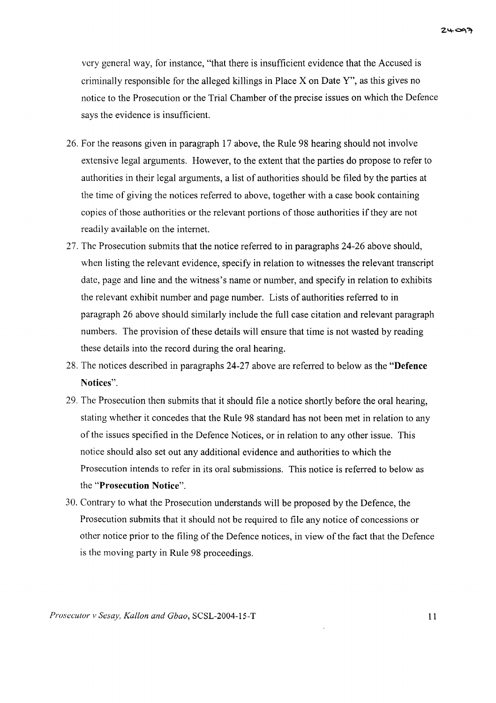very general way, for instance, "that there is insufficient evidence that the Accused is criminally responsible for the alleged killings in Place  $X$  on Date  $Y$ ", as this gives no notice to the Prosecution or the Trial Chamber of the precise issues on which the Defence says the evidence is insufficient.

- 26. For the reasons given in paragraph 17 above, the Rule 98 hearing should not involve extensive legal arguments. However, to the extent that the parties do propose to refer to authorities in their legal arguments, a list of authorities should be filed by the parties at the time of giving the notices referred to above, together with a case book containing copies of those authorities or the relevant portions of those authorities if they are not readily available on the internet.
- 27. The Prosecution submits that the notice referred to in paragraphs 24-26 above should, when listing the relevant evidence, specify in relation to witnesses the relevant transcript date, page and line and the witness's name or number, and specify in relation to exhibits the relevant exhibit number and page number. Lists of authorities referred to in paragraph 26 above should similarly include the full case citation and relevant paragraph numbers. The provision of these details will ensure that time is not wasted by reading these details into the record during the oral hearing.
- 28. The notices described in paragraphs 24-27 above are referred to below as the **"Defence Notices".**
- 29. The Prosecution then submits that it should file a notice shortly before the oral hearing, stating whether it concedes that the Rule 98 standard has not been met in relation to any of the issues specified in the Defence Notices, or in relation to any other issue. This notice should also set out any additional evidence and authorities to which the Prosecution intends to refer in its oral submissions. This notice is referred to below as the **"Prosecution Notice".**
- 30. Contrary to what the Prosecution understands will be proposed by the Defence, the Prosecution submits that it should not be required to file any notice of concessions or other notice prior to the filing of the Defence notices, in view of the fact that the Defence is the moving party in Rule 98 proceedings.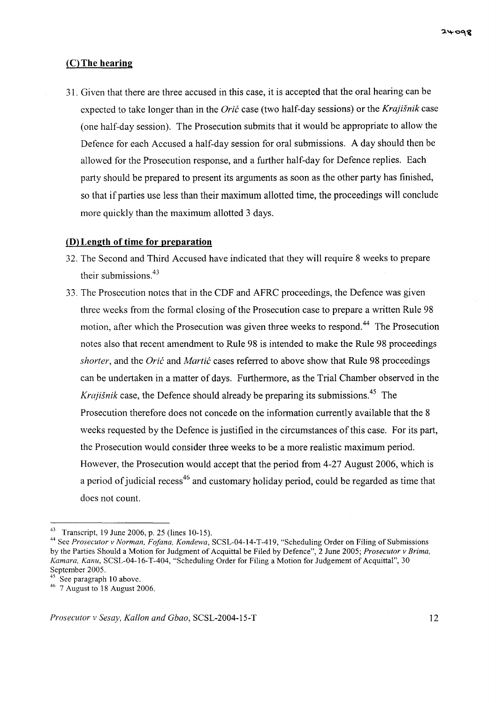## (C) The **hearing**

31. Given that there are three accused in this case, it is accepted that the oral hearing can be expected to take longer than in the *Grit* case (two half-day sessions) or the *Krajisnik* case (one half-day session). The Prosecution submits that it would be appropriate to allow the Defence for each Accused a half-day session for oral submissions. A day should then be allowed for the Prosecution response, and a further half-day for Defence replies. Each party should be prepared to present its arguments as soon as the other party has finished, so that if parties use less than their maximum allotted time, the proceedings will conclude more quickly than the maximum allotted 3 days.

### **(D) Length of time for preparation**

- 32. The Second and Third Accused have indicated that they will require 8 weeks to prepare their submissions.<sup>43</sup>
- 33. The Prosecution notes that in the CDF and AFRC proceedings, the Defence was given three weeks from the formal closing of the Prosecution case to prepare a written Rule 98 motion, after which the Prosecution was given three weeks to respond. <sup>44</sup> The Prosecution notes also that recent amendment to Rule 98 is intended to make the Rule 98 proceedings *shorter*, and the *Orić* and *Martić* cases referred to above show that Rule 98 proceedings can be undertaken in a matter of days. Furthermore, as the Trial Chamber observed in the *Krajisnik* case, the Defence should already be preparing its submissions.<sup>45</sup> The Prosecution therefore does not concede on the information currently available that the 8 weeks requested by the Defence is justified in the circumstances of this case. For its part, the Prosecution would consider three weeks to be a more realistic maximum period. However, the Prosecution would accept that the period from 4-27 August 2006, which is a period of judicial recess $^{46}$  and customary holiday period, could be regarded as time that does not count.

<sup>&</sup>lt;sup>43</sup> Transcript, 19 June 2006, p. 25 (lines 10-15).

<sup>44</sup> See *Prosecutor v Norman, Fofana, Kondewa,* SCSL-04-l4-T-419, "Scheduling Order on Filing of Submissions by the Parties Should a Motion for Judgment of Acquittal be Filed by Defence", 2 June 2005; *Prosecutor v Brima, Kamara, Kanu, SCSL-04-16-T-404, "Scheduling Order for Filing a Motion for Judgement of Acquittal", 30* September 2005.

See paragraph 10 above.

<sup>46</sup> 7 August to 18 August 2006.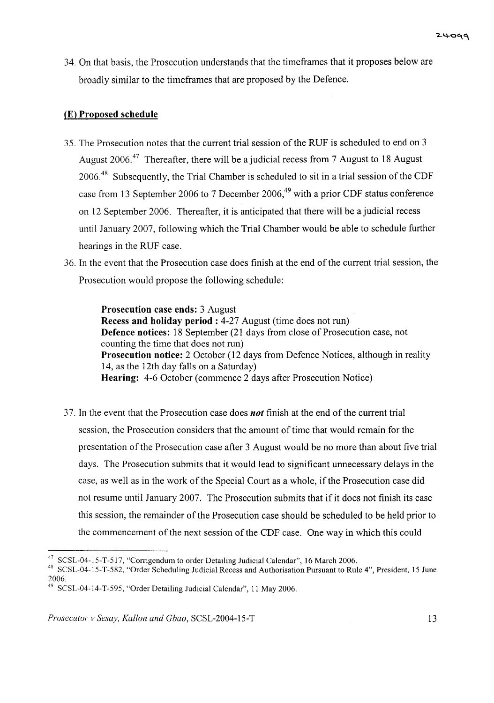34. On that basis, the Prosecution understands that the timeframes that it proposes below are broadly similar to the timeframes that are proposed by the Defence.

## eEl Proposed schedule

- 35. The Prosecution notes that the current trial session of the RUF is scheduled to end on 3 August 2006.<sup>47</sup> Thereafter, there will be a judicial recess from 7 August to 18 August 2006.<sup>48</sup> Subsequently, the Trial Chamber is scheduled to sit in a trial session of the CDF case from 13 September 2006 to 7 December 2006,<sup>49</sup> with a prior CDF status conference on 12 September 2006. Thereafter, it is anticipated that there will be a judicial recess until January 2007, following which the Trial Chamber would be able to schedule further hearings in the RUF case.
- 36. In the event that the Prosecution case does finish at the end ofthe current trial session, the Prosecution would propose the following schedule:

Prosecution case ends: 3 August Recess and holiday period: 4-27 August (time does not run) Defence notices: 18 September (21 days from close of Prosecution case, not counting the time that does not run) Prosecution notice: 2 October (12 days from Defence Notices, although in reality 14, as the 12th day falls on a Saturday) Hearing: 4-6 October (commence 2 days after Prosecution Notice)

37. In the event that the Prosecution case does *not* finish at the end ofthe current trial session, the Prosecution considers that the amount of time that would remain for the presentation of the Prosecution case after 3 August would be no more than about five trial days. The Prosecution submits that it would lead to significant unnecessary delays in the case, as well as in the work of the Special Court as a whole, if the Prosecution case did not resume until January 2007. The Prosecution submits that if it does not finish its case this session, the remainder of the Prosecution case should be scheduled to be held prior to the commencement of the next session of the CDF case. One way in which this could

<sup>47</sup> SCSL-04-15-T-517, "Corrigendum to order Detailing Judicial Calendar", 16 March 2006.

<sup>48</sup> SCSL-04-15-T-582, "Order Scheduling Judicial Recess and Authorisation Pursuant to Rule 4", President, 15 June 2006.

<sup>&</sup>lt;sup>49</sup> SCSL-04-14-T-595, "Order Detailing Judicial Calendar", 11 May 2006.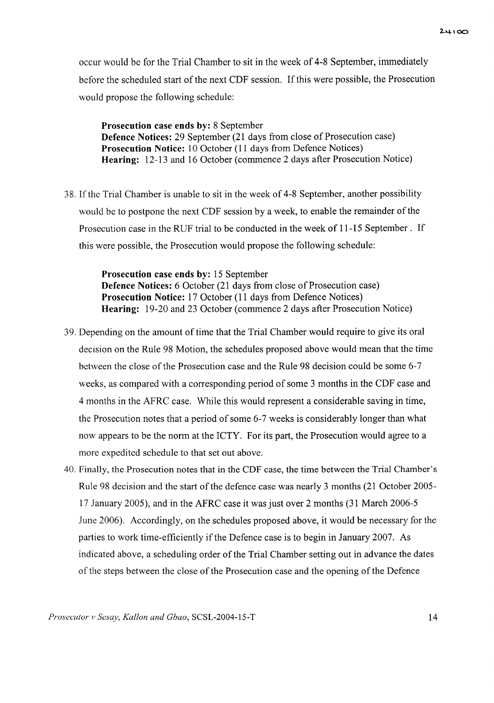occur would be for the Trial Chamber to sit in the week of 4-8 September, immediately before the scheduled start of the next CDF session. If this were possible, the Prosecution would propose the following schedule:

Prosecution case ends by: 8 September Defence Notices: 29 September (21 days from close of Prosecution case) Prosecution Notice: 10 October (11 days from Defence Notices) Hearing: 12-13 and 16 October (commence 2 days after Prosecution Notice)

38. Ifthe Trial Chamber is unable to sit in the week of 4-8 September, another possibility would be to postpone the next CDF session by a week, to enable the remainder of the Prosecution case in the RUF trial to be conducted in the week of 11-15 September. If this were possible, the Prosecution would propose the following schedule:

> Prosecution case ends by: 15 September Defence Notices: 6 October (21 days from close of Prosecution case) Prosecution Notice: 17 October (11 days from Defence Notices) Hearing: 19-20 and 23 October (commence 2 days after Prosecution Notice)

- 39. Depending on the amount of time that the Trial Chamber would require to give its oral decision on the Rule 98 Motion, the schedules proposed above would mean that the time between the close of the Prosecution case and the Rule 98 decision could be some 6-7 weeks, as compared with a corresponding period of some 3 months in the CDF case and 4 months in the AFRC case. While this would represent a considerable saving in time, the Prosecution notes that a period of some 6-7 weeks is considerably longer than what now appears to be the norm at the ICTY. For its part, the Prosecution would agree to a more expedited schedule to that set out above.
- 40. Finally, the Prosecution notes that in the CDP case, the time between the Trial Chamber's Rule 98 decision and the start of the defence case was nearly 3 months (21 October 2005-17 January 2005), and in the AFRC case it was just over 2 months (31 March 2006-5 June 2006). Accordingly, on the schedules proposed above, it would be necessary for the parties to work time-efficiently if the Defence case is to begin in January 2007. As indicated above, a scheduling order of the Trial Chamber setting out in advance the dates of the steps between the close of the Prosecution case and the opening of the Defence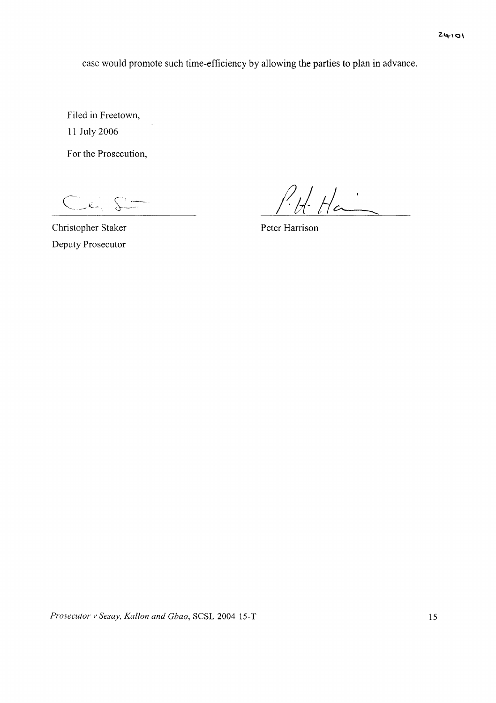case would promote such time-efficiency by allowing the parties to plan in advance.

Filed in Freetown, 11 July 2006

For the Prosecution,

 $C<sub>k</sub>$ 

 $P_{t}H_{t}$ 

Christopher Staker Peter Harrison

Deputy Prosecutor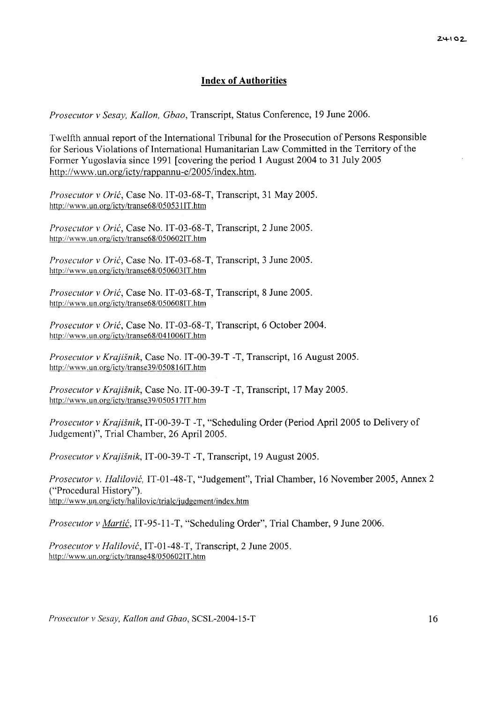### **Index of Authorities**

*Prosecutor v Sesay, Kallon, Gbao,* Transcript, Status Conference, 19 June 2006.

Twelfth annual report of the International Tribunal for the Prosecution of Persons Responsible for Serious Violations of International Humanitarian Law Committed in the Territory of the Former Yugoslavia since 1991 [covering the period 1 August 2004 to 31 July 2005 http://www.un.org/icty/rappannu-e/2005/index.htm.

*Prosecutor v Orić*, Case No. IT-03-68-T, Transcript, 31 May 2005. http://www.un.org/icty/transe68/0505311T.htm

*Prosecutor v Grit,* Case No. IT-03-68-T, Transcript, 2 June 2005. http://www.un.org/icty/transe68/050602IT.htm

*Prosecutor v Grit,* Case No. IT-03-68-T, Transcript, 3 June 2005. http://www.un.org/icty/transe68/050603IT.htm

*Prosecutor v Grit,* Case No. IT-03-68-T, Transcript, 8 June 2005. http://www.un.org/icty/transe68/050608IT.htm

*Prosecutor* v *Grit,* Case No. IT-03-68-T, Transcript, 6 October 2004. http://www.un.org/icty/transe68/0410061T.htm

*Prosecutor v Krajisnik,* Case No. IT-00-39-T -T, Transcript, 16 August 2005. http://www.un.org/icty/transe39/050816IT.htm

*Prosecutor v Krajisnik,* Case No. IT-00-39-T -T, Transcript, 17 May 2005. http://www.un.org/icty/transe39/050517IT.htm

*Prosecutor v Krajisnik,* IT-00-39-T -T, "Scheduling Order (Period April 2005 to Delivery of Judgement)", Trial Chamber, 26 April 2005.

*Prosecutor v Krajisnik,* IT-00-39-T -T, Transcript, 19 August 2005.

*Prosecutor v. Halilovit,* IT-01-48-T, "Judgement", Trial Chamber, 16 November 2005, Annex 2 ("Procedural History"). http://www.un.org/icty/halilovic/trialc/judgement/index.htm

*Prosecutor v Martić*, IT-95-11-T, "Scheduling Order", Trial Chamber, 9 June 2006.

*Prosecutor v Halilovit,* IT-01-48-T, Transcript, 2 June 2005. http://www.un.org/icty/transe48/050602IT.htm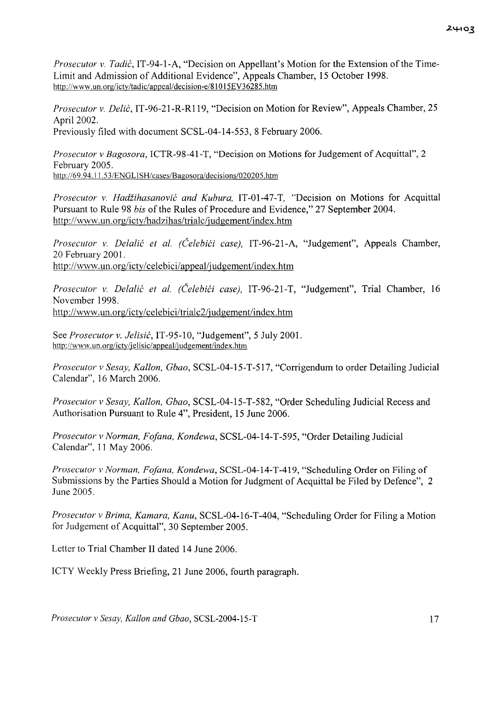*Prosecutor v. Tadić*, IT-94-1-A, "Decision on Appellant's Motion for the Extension of the Time-Limit and Admission of Additional Evidence", Appeals Chamber, 15 October 1998. http://www.un.org/icty/tadic/appealldecision-e/81015EV36285.htm

*Prosecutor v. Delie,* IT-96-21-R-RI19, "Decision on Motion for Review", Appeals Chamber, 25 April 2002. Previously filed with document SCSL-04-14-553, 8 February 2006.

*Prosecutor v Bagosora,* ICTR-98-41-T, "Decision on Motions for Judgement of Acquittal", 2 February 2005. http://69.94.11.53/ENGLlSH/cases/Bagosora/decisions/020205.htm

*Prosecutor v. Hadiihasanovie and Kubura,* IT-01-47-T, "Decision on Motions for Acquittal Pursuant to Rule 98 *bis* of the Rules of Procedure and Evidence," 27 September 2004. http://www.un.org/icty/hadzihas/trialc/judgement/index.htm

*Prosecutor v. Delalie et al. (Celebiti case),* IT-96-21-A, "Judgement", Appeals Chamber, 20 February 2001. http://wvvw.un.org/icty/celebici/appeal/judgement/index.htm

*Prosecutor v. Delalie et al. (Celebiti case),* IT-96-21-T, "Judgement", Trial Chamber, 16 November 1998. http://www.un.org/icty/celebici/tria1c2/judgement/index.htm

See *Prosecutor v. Jelisie,* IT-95-10, "Judgement", 5 July 2001. http://www.un.org/icty/jelisic/appeal/judgement/index.htm

*Prosecutor v Sesay, Kallon, Gbao,* SCSL-04-15-T-517, "Corrigendum to order Detailing Judicial Calendar", 16 March 2006.

*Prosecutor* v *Sesay, Kallon, Gbao,* SCSL-04-15-T-582, "Order Scheduling Judicial Recess and Authorisation Pursuant to Rule 4", President, 15 June 2006.

*Prosecutor v Norman, Fo/ana, Kondewa,* SCSL-04-14-T-595, "Order Detailing Judicial Calendar", 11 May 2006.

*Prosecutor v Norman, Fo/ana, Kondewa,* SCSL-04-14-T-419, "Scheduling Order on Filing of Submissions by the Parties Should a Motion for Judgment of Acquittal be Filed by Defence", 2 June 2005.

*Prosecutor v Brima, Kamara, Kanu,* SCSL-04-16-T-404, "Scheduling Order for Filing a Motion for Judgement of Acquittal", 30 September 2005.

Letter to Trial Chamber II dated 14 June 2006.

ICTY Weekly Press Briefing, 21 June 2006, fourth paragraph.